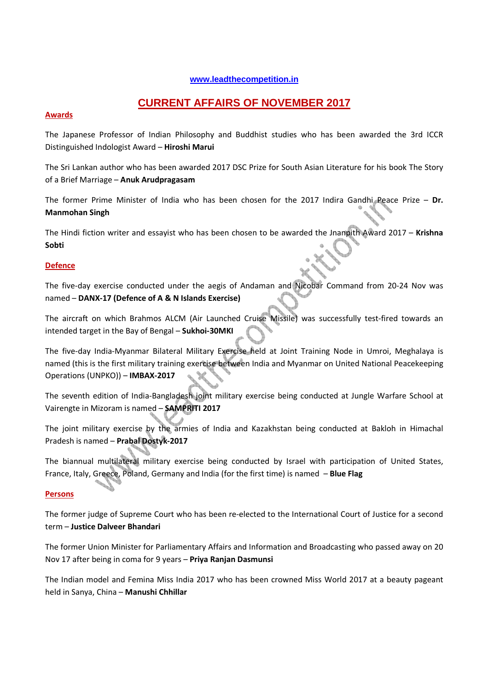## **www.leadthecompetition.in**

# **CURRENT AFFAIRS OF NOVEMBER 2017**

# **Awards**

The Japanese Professor of Indian Philosophy and Buddhist studies who has been awarded the 3rd ICCR Distinguished Indologist Award – **Hiroshi Marui** 

The Sri Lankan author who has been awarded 2017 DSC Prize for South Asian Literature for his book The Story of a Brief Marriage – **Anuk Arudpragasam**

The former Prime Minister of India who has been chosen for the 2017 Indira Gandhi Peace Prize – **Dr. Manmohan Singh**

The Hindi fiction writer and essayist who has been chosen to be awarded the Jnanpith Award 2017 – **Krishna Sobti**

# **Defence**

The five-day exercise conducted under the aegis of Andaman and Nicobar Command from 20-24 Nov was named – **DANX-17 (Defence of A & N Islands Exercise)**

The aircraft on which Brahmos ALCM (Air Launched Cruise Missile) was successfully test-fired towards an intended target in the Bay of Bengal – **Sukhoi-30MKI**

The five-day India-Myanmar Bilateral Military Exercise held at Joint Training Node in Umroi, Meghalaya is named (this is the first military training exercise between India and Myanmar on United National Peacekeeping Operations (UNPKO)) – **IMBAX-2017** 

The seventh edition of India-Bangladesh joint military exercise being conducted at Jungle Warfare School at Vairengte in Mizoram is named – **SAMPRITI 2017**

The joint military exercise by the armies of India and Kazakhstan being conducted at Bakloh in Himachal Pradesh is named – **Prabal Dostyk-2017**

The biannual multilateral military exercise being conducted by Israel with participation of United States, France, Italy, Greece, Poland, Germany and India (for the first time) is named – **Blue Flag**

## **Persons**

The former judge of Supreme Court who has been re-elected to the International Court of Justice for a second term – **Justice Dalveer Bhandari**

The former Union Minister for Parliamentary Affairs and Information and Broadcasting who passed away on 20 Nov 17 after being in coma for 9 years – **Priya Ranjan Dasmunsi** 

The Indian model and Femina Miss India 2017 who has been crowned Miss World 2017 at a beauty pageant held in Sanya, China – **Manushi Chhillar**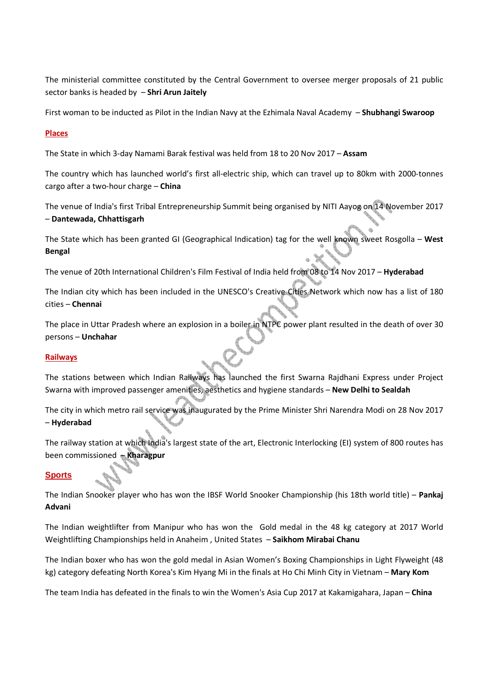The ministerial committee constituted by the Central Government to oversee merger proposals of 21 public sector banks is headed by – **Shri Arun Jaitely**

First woman to be inducted as Pilot in the Indian Navy at the Ezhimala Naval Academy – **Shubhangi Swaroop**

# **Places**

The State in which 3-day Namami Barak festival was held from 18 to 20 Nov 2017 – **Assam** 

The country which has launched world's first all-electric ship, which can travel up to 80km with 2000-tonnes cargo after a two-hour charge – **China**

The venue of India's first Tribal Entrepreneurship Summit being organised by NITI Aayog on 14 November 2017 – **Dantewada, Chhattisgarh**

The State which has been granted GI (Geographical Indication) tag for the well known sweet Rosgolla – **West Bengal**

The venue of 20th International Children's Film Festival of India held from 08 to 14 Nov 2017 – **Hyderabad**

The Indian city which has been included in the UNESCO's Creative Cities Network which now has a list of 180 cities – **Chennai**

The place in Uttar Pradesh where an explosion in a boiler in NTPC power plant resulted in the death of over 30 persons – **Unchahar** 

## **Railways**

The stations between which Indian Railways has launched the first Swarna Rajdhani Express under Project Swarna with improved passenger amenities, aesthetics and hygiene standards – **New Delhi to Sealdah**

The city in which metro rail service was inaugurated by the Prime Minister Shri Narendra Modi on 28 Nov 2017 – **Hyderabad**

The railway station at which India's largest state of the art, Electronic Interlocking (EI) system of 800 routes has been commissioned – **Kharagpur**

## **Sports**

The Indian Snooker player who has won the IBSF World Snooker Championship (his 18th world title) – **Pankaj Advani**

The Indian weightlifter from Manipur who has won the Gold medal in the 48 kg category at 2017 World Weightlifting Championships held in Anaheim , United States – **Saikhom Mirabai Chanu** 

The Indian boxer who has won the gold medal in Asian Women's Boxing Championships in Light Flyweight (48 kg) category defeating North Korea's Kim Hyang Mi in the finals at Ho Chi Minh City in Vietnam – **Mary Kom**

The team India has defeated in the finals to win the Women's Asia Cup 2017 at Kakamigahara, Japan – **China**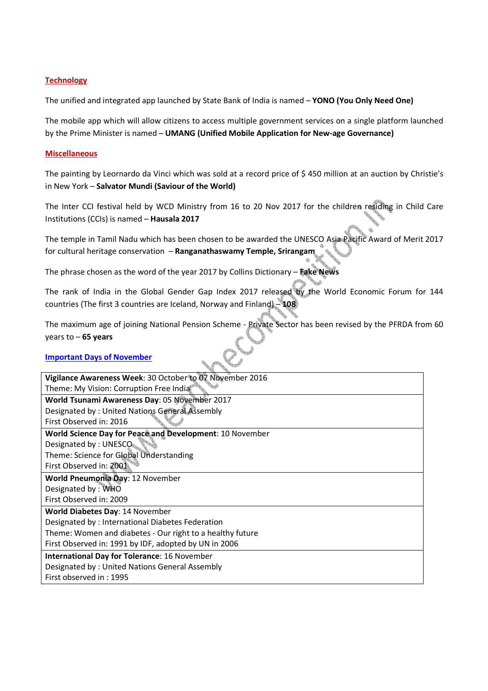# **Technology**

The unified and integrated app launched by State Bank of India is named – **YONO (You Only Need One)**

The mobile app which will allow citizens to access multiple government services on a single platform launched by the Prime Minister is named – **UMANG (Unified Mobile Application for New-age Governance)**

## **Miscellaneous**

The painting by Leornardo da Vinci which was sold at a record price of \$ 450 million at an auction by Christie's in New York – **Salvator Mundi (Saviour of the World)** 

The Inter CCI festival held by WCD Ministry from 16 to 20 Nov 2017 for the children residing in Child Care Institutions (CCIs) is named – **Hausala 2017**

The temple in Tamil Nadu which has been chosen to be awarded the UNESCO Asia Pacific Award of Merit 2017 for cultural heritage conservation – **Ranganathaswamy Temple, Srirangam** 

The phrase chosen as the word of the year 2017 by Collins Dictionary – **Fake News**

The rank of India in the Global Gender Gap Index 2017 released by the World Economic Forum for 144 countries (The first 3 countries are Iceland, Norway and Finland) – **108**

The maximum age of joining National Pension Scheme - Private Sector has been revised by the PFRDA from 60 years to – **65 years**

## **Important Days of November**

| Vigilance Awareness Week: 30 October to 07 November 2016  |  |  |  |
|-----------------------------------------------------------|--|--|--|
| Theme: My Vision: Corruption Free India                   |  |  |  |
| World Tsunami Awareness Day: 05 November 2017             |  |  |  |
| Designated by: United Nations General Assembly            |  |  |  |
| First Observed in: 2016                                   |  |  |  |
| World Science Day for Peace and Development: 10 November  |  |  |  |
| Designated by: UNESCO                                     |  |  |  |
| Theme: Science for Global Understanding                   |  |  |  |
| First Observed in: 2001                                   |  |  |  |
| World Pneumonia Day: 12 November                          |  |  |  |
| Designated by: WHO                                        |  |  |  |
| First Observed in: 2009                                   |  |  |  |
| World Diabetes Day: 14 November                           |  |  |  |
| Designated by : International Diabetes Federation         |  |  |  |
| Theme: Women and diabetes - Our right to a healthy future |  |  |  |
| First Observed in: 1991 by IDF, adopted by UN in 2006     |  |  |  |
| <b>International Day for Tolerance: 16 November</b>       |  |  |  |
| Designated by: United Nations General Assembly            |  |  |  |
| First observed in: 1995                                   |  |  |  |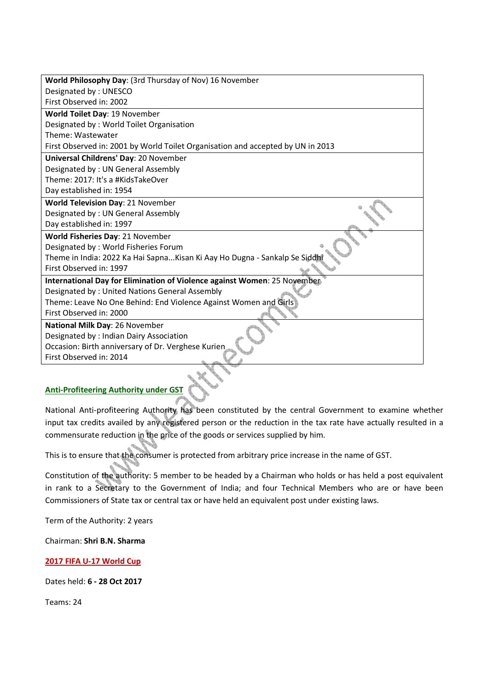| World Philosophy Day: (3rd Thursday of Nov) 16 November                         |  |  |  |
|---------------------------------------------------------------------------------|--|--|--|
| Designated by: UNESCO                                                           |  |  |  |
| First Observed in: 2002                                                         |  |  |  |
| World Toilet Day: 19 November                                                   |  |  |  |
| Designated by: World Toilet Organisation                                        |  |  |  |
| Theme: Wastewater                                                               |  |  |  |
| First Observed in: 2001 by World Toilet Organisation and accepted by UN in 2013 |  |  |  |
| Universal Childrens' Day: 20 November                                           |  |  |  |
| Designated by: UN General Assembly                                              |  |  |  |
| Theme: 2017: It's a #KidsTakeOver                                               |  |  |  |
| Day established in: 1954                                                        |  |  |  |
| <b>World Television Day: 21 November</b>                                        |  |  |  |
| Designated by: UN General Assembly                                              |  |  |  |
| Day established in: 1997                                                        |  |  |  |
| World Fisheries Day: 21 November                                                |  |  |  |
| Designated by: World Fisheries Forum                                            |  |  |  |
| Theme in India: 2022 Ka Hai Sapna Kisan Ki Aay Ho Dugna - Sankalp Se Siddhi     |  |  |  |
| First Observed in: 1997                                                         |  |  |  |
| International Day for Elimination of Violence against Women: 25 November        |  |  |  |
| Designated by: United Nations General Assembly                                  |  |  |  |
| Theme: Leave No One Behind: End Violence Against Women and Girls                |  |  |  |
| First Observed in: 2000                                                         |  |  |  |
| National Milk Day: 26 November                                                  |  |  |  |
| Designated by: Indian Dairy Association                                         |  |  |  |
| Occasion: Birth anniversary of Dr. Verghese Kurien                              |  |  |  |
| First Observed in: 2014                                                         |  |  |  |
|                                                                                 |  |  |  |

# **Anti-Profiteering Authority under GST**

National Anti-profiteering Authority has been constituted by the central Government to examine whether input tax credits availed by any registered person or the reduction in the tax rate have actually resulted in a commensurate reduction in the price of the goods or services supplied by him.

This is to ensure that the consumer is protected from arbitrary price increase in the name of GST.

Constitution of the authority: 5 member to be headed by a Chairman who holds or has held a post equivalent in rank to a Secretary to the Government of India; and four Technical Members who are or have been Commissioners of State tax or central tax or have held an equivalent post under existing laws.

Term of the Authority: 2 years

Chairman: **Shri B.N. Sharma**

## **2017 FIFA U-17 World Cup**

Dates held: **6 - 28 Oct 2017**

Teams: 24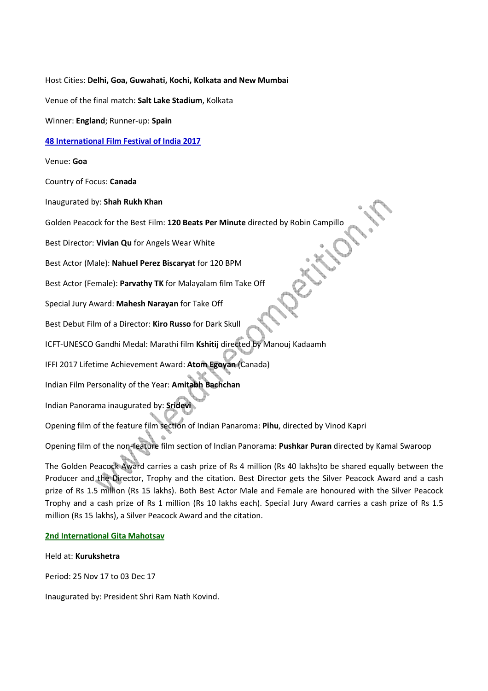Host Cities: **Delhi, Goa, Guwahati, Kochi, Kolkata and New Mumbai**

Venue of the final match: **Salt Lake Stadium**, Kolkata

Winner: **England**; Runner-up: **Spain**

#### **48 International Film Festival of India 2017**

Venue: **Goa**

Country of Focus: **Canada**

Inaugurated by: **Shah Rukh Khan**

Golden Peacock for the Best Film: **120 Beats Per Minute** directed by Robin Campillo

Best Director: **Vivian Qu** for Angels Wear White

Best Actor (Male): **Nahuel Perez Biscaryat** for 120 BPM

Best Actor (Female): **Parvathy TK** for Malayalam film Take Off

Special Jury Award: **Mahesh Narayan** for Take Off

Best Debut Film of a Director: **Kiro Russo** for Dark Skull

ICFT-UNESCO Gandhi Medal: Marathi film **Kshitij** directed by Manouj Kadaamh

IFFI 2017 Lifetime Achievement Award: **Atom Egoyan** (Canada)

Indian Film Personality of the Year: **Amitabh Bachchan**

Indian Panorama inaugurated by: **Sridevi**

Opening film of the feature film section of Indian Panaroma: **Pihu**, directed by Vinod Kapri

Opening film of the non-feature film section of Indian Panorama: **Pushkar Puran** directed by Kamal Swaroop

The Golden Peacock Award carries a cash prize of Rs 4 million (Rs 40 lakhs)to be shared equally between the Producer and the Director, Trophy and the citation. Best Director gets the Silver Peacock Award and a cash prize of Rs 1.5 million (Rs 15 lakhs). Both Best Actor Male and Female are honoured with the Silver Peacock Trophy and a cash prize of Rs 1 million (Rs 10 lakhs each). Special Jury Award carries a cash prize of Rs 1.5 million (Rs 15 lakhs), a Silver Peacock Award and the citation.

#### **2nd International Gita Mahotsav**

Held at: **Kurukshetra**

Period: 25 Nov 17 to 03 Dec 17

Inaugurated by: President Shri Ram Nath Kovind.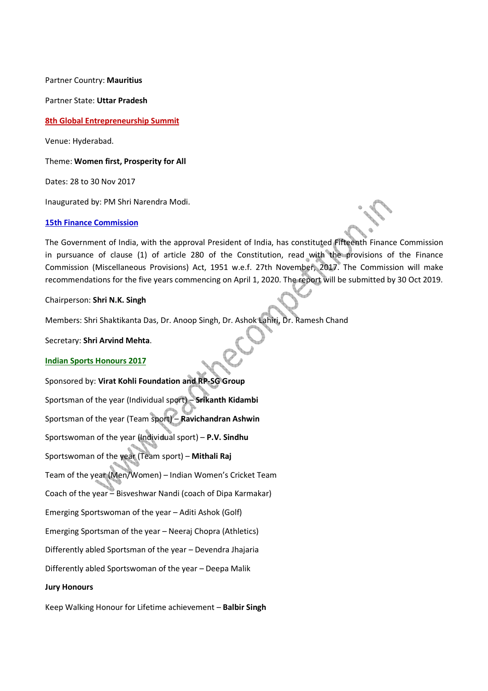Partner Country: **Mauritius**

Partner State: **Uttar Pradesh**

**8th Global Entrepreneurship Summit**

Venue: Hyderabad.

Theme: **Women first, Prosperity for All**

Dates: 28 to 30 Nov 2017

Inaugurated by: PM Shri Narendra Modi.

#### **15th Finance Commission**

The Government of India, with the approval President of India, has constituted Fifteenth Finance Commission in pursuance of clause (1) of article 280 of the Constitution, read with the provisions of the Finance Commission (Miscellaneous Provisions) Act, 1951 w.e.f. 27th November, 2017. The Commission will make recommendations for the five years commencing on April 1, 2020. The report will be submitted by 30 Oct 2019.

Chairperson: **Shri N.K. Singh**

Members: Shri Shaktikanta Das, Dr. Anoop Singh, Dr. Ashok Lahiri, Dr. Ramesh Chand

Secretary: **Shri Arvind Mehta**.

#### **Indian Sports Honours 2017**

Sponsored by: **Virat Kohli Foundation and RP-SG Group** Sportsman of the year (Individual sport) – **Srikanth Kidambi** Sportsman of the year (Team sport) – **Ravichandran Ashwin** Sportswoman of the year (Individual sport) – **P.V. Sindhu** Sportswoman of the year (Team sport) – **Mithali Raj** Team of the year (Men/Women) – Indian Women's Cricket Team Coach of the year – Bisveshwar Nandi (coach of Dipa Karmakar) Emerging Sportswoman of the year – Aditi Ashok (Golf) Emerging Sportsman of the year – Neeraj Chopra (Athletics) Differently abled Sportsman of the year – Devendra Jhajaria Differently abled Sportswoman of the year – Deepa Malik **Jury Honours** 

Keep Walking Honour for Lifetime achievement – **Balbir Singh**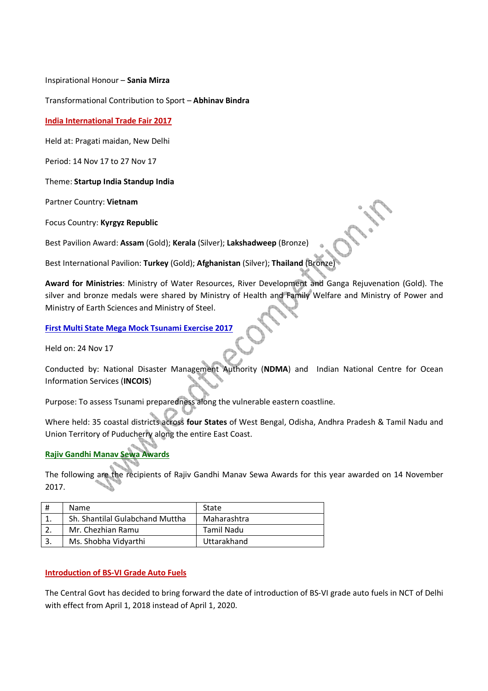Inspirational Honour – **Sania Mirza**

Transformational Contribution to Sport – **Abhinav Bindra**

**India International Trade Fair 2017**

Held at: Pragati maidan, New Delhi

Period: 14 Nov 17 to 27 Nov 17

Theme: **Startup India Standup India**

Partner Country: **Vietnam**

Focus Country: **Kyrgyz Republic**

Best Pavilion Award: **Assam** (Gold); **Kerala** (Silver); **Lakshadweep** (Bronze)

Best International Pavilion: **Turkey** (Gold); **Afghanistan** (Silver); **Thailand** (Bronze)

**Award for Ministries**: Ministry of Water Resources, River Development and Ganga Rejuvenation (Gold). The silver and bronze medals were shared by Ministry of Health and Family Welfare and Ministry of Power and Ministry of Earth Sciences and Ministry of Steel.

**First Multi State Mega Mock Tsunami Exercise 2017**

Held on: 24 Nov 17

Conducted by: National Disaster Management Authority (**NDMA**) and Indian National Centre for Ocean Information Services (**INCOIS**)

Purpose: To assess Tsunami preparedness along the vulnerable eastern coastline.

Where held: 35 coastal districts across **four States** of West Bengal, Odisha, Andhra Pradesh & Tamil Nadu and Union Territory of Puducherry along the entire East Coast.

# **Rajiv Gandhi Manav Sewa Awards**

The following are the recipients of Rajiv Gandhi Manav Sewa Awards for this year awarded on 14 November 2017.

| <b>Name</b>                     | State       |
|---------------------------------|-------------|
| Sh. Shantilal Gulabchand Muttha | Maharashtra |
| Mr. Chezhian Ramu               | Tamil Nadu  |
| Ms. Shobha Vidyarthi            | Uttarakhand |

# **Introduction of BS-VI Grade Auto Fuels**

The Central Govt has decided to bring forward the date of introduction of BS-VI grade auto fuels in NCT of Delhi with effect from April 1, 2018 instead of April 1, 2020.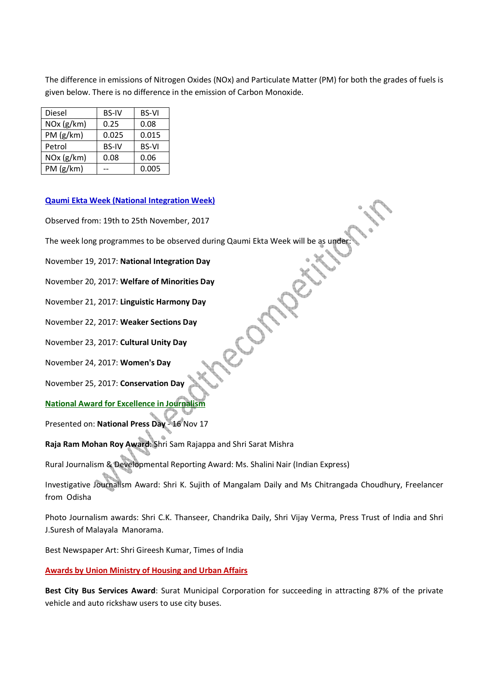The difference in emissions of Nitrogen Oxides (NOx) and Particulate Matter (PM) for both the grades of fuels is given below. There is no difference in the emission of Carbon Monoxide.

| Diesel     | <b>BS-IV</b> | <b>BS-VI</b> |
|------------|--------------|--------------|
| NOx (g/km) | 0.25         | 0.08         |
| PM (g/km)  | 0.025        | 0.015        |
| Petrol     | <b>BS-IV</b> | <b>BS-VI</b> |
| NOx (g/km) | 0.08         | 0.06         |
| PM (g/km)  |              | 0.005        |

## **Qaumi Ekta Week (National Integration Week)**

Observed from: 19th to 25th November, 2017

The week long programmes to be observed during Qaumi Ekta Week will be as under

November 19, 2017: **National Integration Day**

November 20, 2017: **Welfare of Minorities Day** 

November 21, 2017: **Linguistic Harmony Day**

November 22, 2017: **Weaker Sections Day**

November 23, 2017: **Cultural Unity Day**

November 24, 2017: **Women's Day**

November 25, 2017: **Conservation Day**

**National Award for Excellence in Journalism**

Presented on: **National Press Day** - 16 Nov 17

**Raja Ram Mohan Roy Award**: Shri Sam Rajappa and Shri Sarat Mishra

Rural Journalism & Developmental Reporting Award: Ms. Shalini Nair (Indian Express)

Investigative Journalism Award: Shri K. Sujith of Mangalam Daily and Ms Chitrangada Choudhury, Freelancer from Odisha

Photo Journalism awards: Shri C.K. Thanseer, Chandrika Daily, Shri Vijay Verma, Press Trust of India and Shri J.Suresh of Malayala Manorama.

Best Newspaper Art: Shri Gireesh Kumar, Times of India

**Awards by Union Ministry of Housing and Urban Affairs**

**Best City Bus Services Award**: Surat Municipal Corporation for succeeding in attracting 87% of the private vehicle and auto rickshaw users to use city buses.